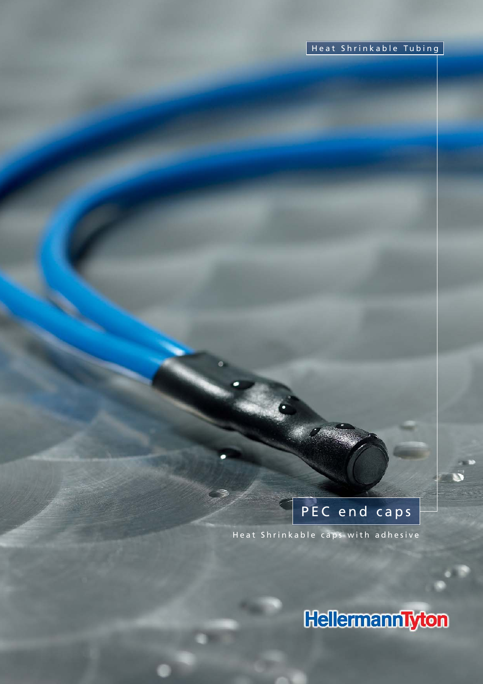# PEC end caps

Heat Shrinkable caps with adhesive

HellermannTyton